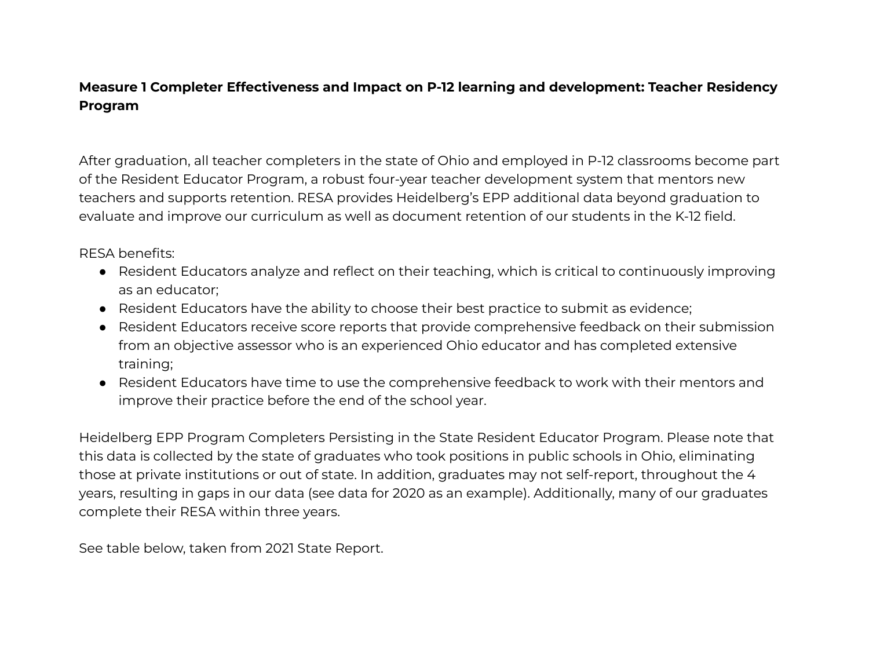## **Measure 1 Completer Effectiveness and Impact on P-12 learning and development: Teacher Residency Program**

After graduation, all teacher completers in the state of Ohio and employed in P-12 classrooms become part of the Resident Educator Program, a robust four-year teacher development system that mentors new teachers and supports retention. RESA provides Heidelberg's EPP additional data beyond graduation to evaluate and improve our curriculum as well as document retention of our students in the K-12 field.

RESA benefits:

- Resident Educators analyze and reflect on their teaching, which is critical to continuously improving as an educator;
- Resident Educators have the ability to choose their best practice to submit as evidence;
- Resident Educators receive score reports that provide comprehensive feedback on their submission from an objective assessor who is an experienced Ohio educator and has completed extensive training;
- Resident Educators have time to use the comprehensive feedback to work with their mentors and improve their practice before the end of the school year.

Heidelberg EPP Program Completers Persisting in the State Resident Educator Program. Please note that this data is collected by the state of graduates who took positions in public schools in Ohio, eliminating those at private institutions or out of state. In addition, graduates may not self-report, throughout the 4 years, resulting in gaps in our data (see data for 2020 as an example). Additionally, many of our graduates complete their RESA within three years.

See table below, taken from 2021 State Report.